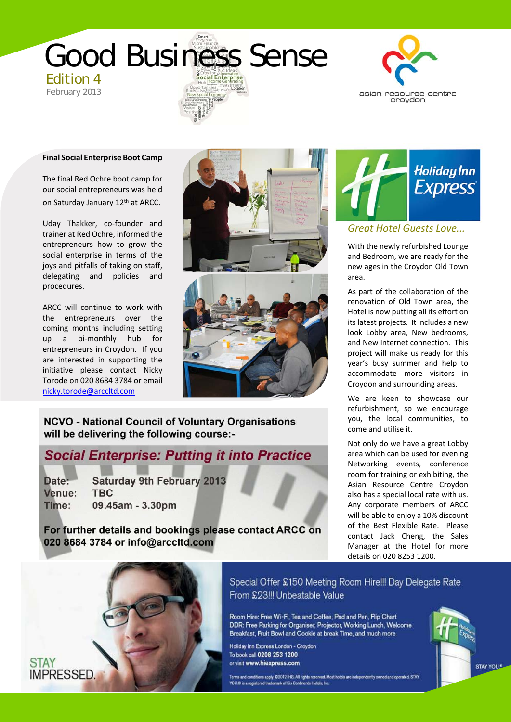



### **Final Social Enterprise Boot Camp**

The final Red Ochre boot camp for our social entrepreneurs was held on Saturday January 12th at ARCC.

Uday Thakker, co-founder and trainer at Red Ochre, informed the entrepreneurs how to grow the social enterprise in terms of the joys and pitfalls of taking on staff, delegating and policies and procedures.

ARCC will continue to work with the entrepreneurs over the coming months including setting up a bi‐monthly hub for entrepreneurs in Croydon. If you are interested in supporting the initiative please contact Nicky Torode on 020 8684 3784 or email nicky.torode@arccltd.com



**NCVO - National Council of Voluntary Organisations** will be delivering the following course:-

## **Social Enterprise: Putting it into Practice**

**Saturday 9th February 2013** Date: Venue: **TBC** Time: 09.45am - 3.30pm

For further details and bookings please contact ARCC on 020 8684 3784 or info@arccltd.com



## *Great Hotel Guests Love...*

With the newly refurbished Lounge and Bedroom, we are ready for the new ages in the Croydon Old Town area.

As part of the collaboration of the renovation of Old Town area, the Hotel is now putting all its effort on its latest projects. It includes a new look Lobby area, New bedrooms, and New Internet connection. This project will make us ready for this year's busy summer and help to accommodate more visitors in Croydon and surrounding areas.

We are keen to showcase our refurbishment, so we encourage you, the local communities, to come and utilise it.

Not only do we have a great Lobby area which can be used for evening Networking events, conference room for training or exhibiting, the Asian Resource Centre Croydon also has a special local rate with us. Any corporate members of ARCC will be able to enjoy a 10% discount of the Best Flexible Rate. Please contact Jack Cheng, the Sales Manager at the Hotel for more details on 020 8253 1200.



**STAY** 

Special Offer £150 Meeting Room Hire!!! Day Delegate Rate From £23!!! Unbeatable Value **020 8684 3195**

Room Hire: Free Wi-Fi, Tea and Coffee, Pad and Pen, Flip Chart<br>DDR: Free Parking for Organiser, Projector, Working Lunch, Welcome Breakfast, Fruit Bowl and Cookie at break Time, and much more

Holiday Inn Express London - Croydon To book call 0208 253 1200 or visit www.hiexpress.com

.<br>Terms and conditions apply, C2012 lHG. All rights reserved. Most hotels are independently owned and operated. STAY<br>YOU.® is a registered trademark of Six Continents Hotels, Inc.